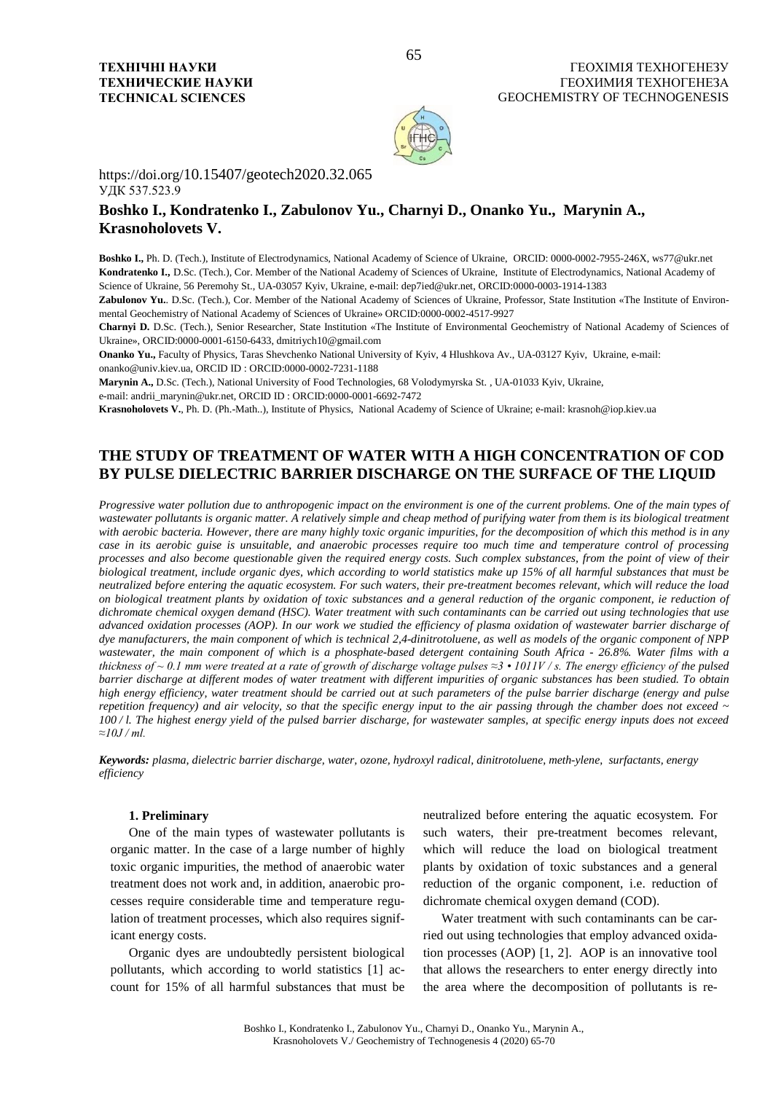

https://doi.org/10.15407/geotech2020.32.065 УДК 537.523.9

# **Boshko I., Kondratenko I., Zabulonov Yu., Charnyi D., Onanko Yu., Marynin A., Krasnoholovets V.**

**Boshko I.,** Ph. D. (Tech.), Institute of Electrodynamics, National Academy of Science of Ukraine, ORCID: 0000-0002-7955-246X, ws77@ukr.net **Kondratenko I.,** D.Sc. (Tech.), Cor. Member of the National Academy of Sciences of Ukraine,Institute of Electrodynamics, National Academy of Science of Ukraine, 56 Peremohy St., UA-03057 Kyiv, Ukraine, e-mail: dep7ied@ukr.net, ORCID:0000-0003-1914-1383

Zabulonov Yu. D.Sc. (Tech.), Cor. Member of the National Academy of Sciences of Ukraine, Professor, State Institution «The Institute of Environmental Geochemistry of National Academy of Sciences of Ukraine» ORCID:0000-0002-4517-9927

**Charnyi D.** D.Sc. (Tech.), Senior Researcher, State Institution «The Institute of Environmental Geochemistry of National Academy of Sciences of Ukraine», ORCID:0000-0001-6150-6433, dmitriych10@gmail.com

**Onanko Yu.,** Faculty of Physics, Taras Shevchenko National University of Kyiv, 4 Hlushkova Av., UA-03127 Kyiv, Ukraine, e-mail: onanko@univ.kiev.ua, ORCID ID : ORCID:0000-0002-7231-1188

**Marynin A.,** D.Sc. (Tech.), National University of Food Technologies, 68 Volodymyrska St. , UA-01033 Kyiv, Ukraine,

e-mail: andrii\_marynin@ukr.net, ORCID ID : ORCID:0000-0001-6692-7472

**Krasnoholovets V.**, Ph. D. (Ph.-Math..), Institute of Physics, National Academy of Science of Ukraine; e-mail[: krasnoh@iop.kiev.ua](mailto:krasnoh@iop.kiev.ua)

# **THE STUDY OF TREATMENT OF WATER WITH A HIGH CONCENTRATION OF COD BY PULSE DIELECTRIC BARRIER DISCHARGE ON THE SURFACE OF THE LIQUID**

*Progressive water pollution due to anthropogenic impact on the environment is one of the current problems. One of the main types of wastewater pollutants is organic matter. A relatively simple and cheap method of purifying water from them is its biological treatment*  with aerobic bacteria. However, there are many highly toxic organic impurities, for the decomposition of which this method is in any *case in its aerobic guise is unsuitable, and anaerobic processes require too much time and temperature control of processing processes and also become questionable given the required energy costs. Such complex substances, from the point of view of their biological treatment, include organic dyes, which according to world statistics make up 15% of all harmful substances that must be neutralized before entering the aquatic ecosystem. For such waters, their pre-treatment becomes relevant, which will reduce the load on biological treatment plants by oxidation of toxic substances and a general reduction of the organic component, ie reduction of dichromate chemical oxygen demand (HSC). Water treatment with such contaminants can be carried out using technologies that use*  advanced oxidation processes (AOP). In our work we studied the efficiency of plasma oxidation of wastewater barrier discharge of *dye manufacturers, the main component of which is technical 2,4-dinitrotoluene, as well as models of the organic component of NPP wastewater, the main component of which is a phosphate-based detergent containing South Africa - 26.8%. Water films with a thickness of ~ 0.1 mm were treated at a rate of growth of discharge voltage pulses*  $\approx$  3 • 1011V/s. The energy efficiency of the pulsed *barrier discharge at different modes of water treatment with different impurities of organic substances has been studied. To obtain high energy efficiency, water treatment should be carried out at such parameters of the pulse barrier discharge (energy and pulse repetition frequency) and air velocity, so that the specific energy input to the air passing through the chamber does not exceed ~ 100 / l. The highest energy yield of the pulsed barrier discharge, for wastewater samples, at specific energy inputs does not exceed ≈10J / ml.*

*Keywords: plasma, dielectric barrier discharge, water, ozone, hydroxyl radical, dinitrotoluene, meth-ylene, surfactants, energy efficiency*

# **1. Preliminary**

One of the main types of wastewater pollutants is organic matter. In the case of a large number of highly toxic organic impurities, the method of anaerobic water treatment does not work and, in addition, anaerobic processes require considerable time and temperature regulation of treatment processes, which also requires significant energy costs.

Organic dyes are undoubtedly persistent biological pollutants, which according to world statistics [1] account for 15% of all harmful substances that must be neutralized before entering the aquatic ecosystem. For such waters, their pre-treatment becomes relevant, which will reduce the load on biological treatment plants by oxidation of toxic substances and a general reduction of the organic component, i.e. reduction of dichromate chemical oxygen demand (COD).

Water treatment with such contaminants can be carried out using technologies that employ advanced oxidation processes (AOP) [1, 2]. AOP is an innovative tool that allows the researchers to enter energy directly into the area where the decomposition of pollutants is re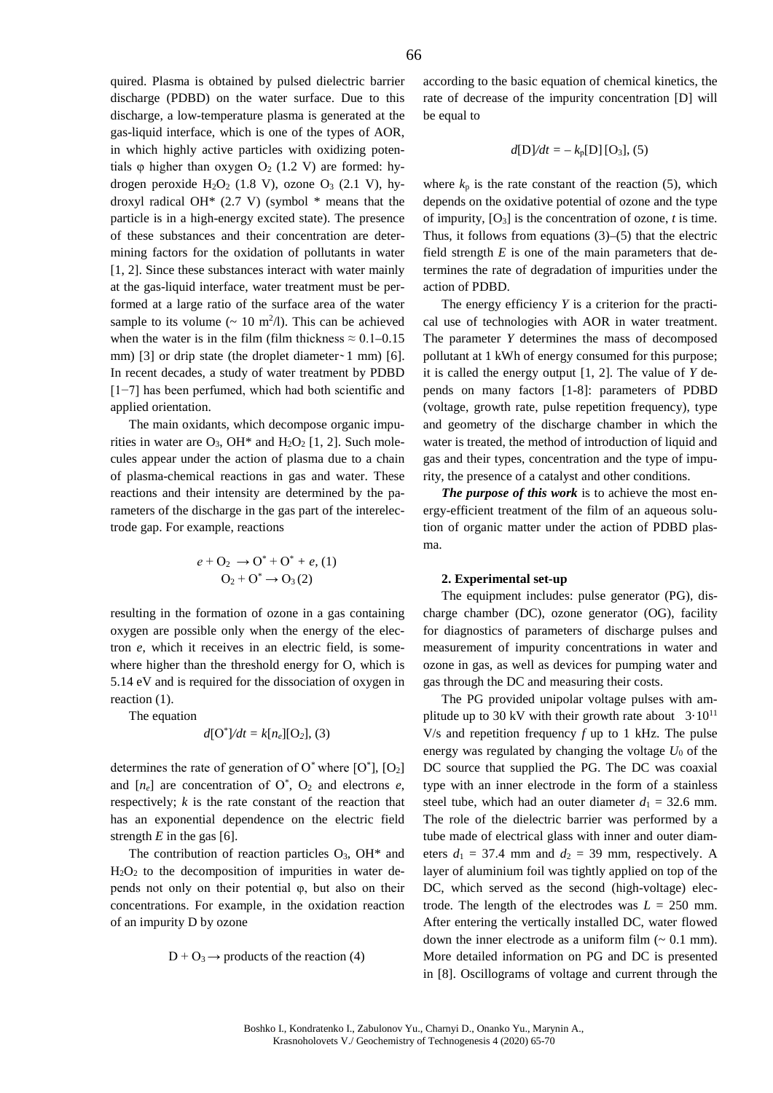quired. Plasma is obtained by pulsed dielectric barrier discharge (PDBD) on the water surface. Due to this discharge, a low-temperature plasma is generated at the gas-liquid interface, which is one of the types of AOR, in which highly active particles with oxidizing potentials  $\varphi$  higher than oxygen  $O_2$  (1.2 V) are formed: hydrogen peroxide  $H_2O_2$  (1.8 V), ozone  $O_3$  (2.1 V), hydroxyl radical OH $*$  (2.7 V) (symbol  $*$  means that the particle is in a high-energy excited state). The presence of these substances and their concentration are determining factors for the oxidation of pollutants in water [1, 2]. Since these substances interact with water mainly at the gas-liquid interface, water treatment must be performed at a large ratio of the surface area of the water sample to its volume  $($   $\sim$  10 m<sup>2</sup>/l). This can be achieved when the water is in the film (film thickness  $\approx 0.1 - 0.15$ ) mm) [3] or drip state (the droplet diameter $\sim$  1 mm) [6]. In recent decades, a study of water treatment by PDBD [1−7] has been perfumed, which had both scientific and applied orientation.

The main oxidants, which decompose organic impurities in water are  $O_3$ , OH<sup>\*</sup> and H<sub>2</sub>O<sub>2</sub> [1, 2]. Such molecules appear under the action of plasma due to a chain of plasma-chemical reactions in gas and water. These reactions and their intensity are determined by the parameters of the discharge in the gas part of the interelectrode gap. For example, reactions

$$
e + O_2 \rightarrow O^* + O^* + e
$$
, (1)  
 $O_2 + O^* \rightarrow O_3(2)$ 

resulting in the formation of ozone in a gas containing oxygen are possible only when the energy of the electron *e*, which it receives in an electric field, is somewhere higher than the threshold energy for O, which is 5.14 eV and is required for the dissociation of oxygen in reaction (1).

The equation

$$
d[O^*]/dt = k[n_e][O_2]
$$
, (3)

determines the rate of generation of  $O^*$  where  $[O^*]$ ,  $[O_2]$ and  $[n_e]$  are concentration of  $O^*$ ,  $O_2$  and electrons *e*, respectively; *k* is the rate constant of the reaction that has an exponential dependence on the electric field strength  $E$  in the gas [6].

The contribution of reaction particles  $O_3$ , OH\* and  $H<sub>2</sub>O<sub>2</sub>$  to the decomposition of impurities in water depends not only on their potential φ, but also on their concentrations. For example, in the oxidation reaction of an impurity D by ozone

$$
D + O_3 \rightarrow \text{products of the reaction } (4)
$$

according to the basic equation of chemical kinetics, the rate of decrease of the impurity concentration [D] will be equal to

$$
d[D]/dt = -k_p[D][O_3]
$$
, (5)

where  $k_p$  is the rate constant of the reaction (5), which depends on the oxidative potential of ozone and the type of impurity,  $[O_3]$  is the concentration of ozone, *t* is time. Thus, it follows from equations  $(3)$ – $(5)$  that the electric field strength  $E$  is one of the main parameters that determines the rate of degradation of impurities under the action of PDBD.

The energy efficiency *Y* is a criterion for the practical use of technologies with AOR in water treatment. The parameter *Y* determines the mass of decomposed pollutant at 1 kWh of energy consumed for this purpose; it is called the energy output [1, 2]. The value of *Y* depends on many factors [1-8]: parameters of PDBD (voltage, growth rate, pulse repetition frequency), type and geometry of the discharge chamber in which the water is treated, the method of introduction of liquid and gas and their types, concentration and the type of impurity, the presence of a catalyst and other conditions.

*The purpose of this work* is to achieve the most energy-efficient treatment of the film of an aqueous solution of organic matter under the action of PDBD plasma.

#### **2. Experimental set-up**

The equipment includes: pulse generator (PG), discharge chamber (DC), ozone generator (OG), facility for diagnostics of parameters of discharge pulses and measurement of impurity concentrations in water and ozone in gas, as well as devices for pumping water and gas through the DC and measuring their costs.

The PG provided unipolar voltage pulses with amplitude up to 30 kV with their growth rate about  $3.10^{11}$ V/s and repetition frequency *f* up to 1 kHz. The pulse energy was regulated by changing the voltage  $U_0$  of the DC source that supplied the PG. The DC was coaxial type with an inner electrode in the form of a stainless steel tube, which had an outer diameter  $d_1 = 32.6$  mm. The role of the dielectric barrier was performed by a tube made of electrical glass with inner and outer diameters  $d_1 = 37.4$  mm and  $d_2 = 39$  mm, respectively. A layer of aluminium foil was tightly applied on top of the DC, which served as the second (high-voltage) electrode. The length of the electrodes was  $L = 250$  mm. After entering the vertically installed DC, water flowed down the inner electrode as a uniform film  $($   $\sim$  0.1 mm). More detailed information on PG and DC is presented in [8]. Oscillograms of voltage and current through the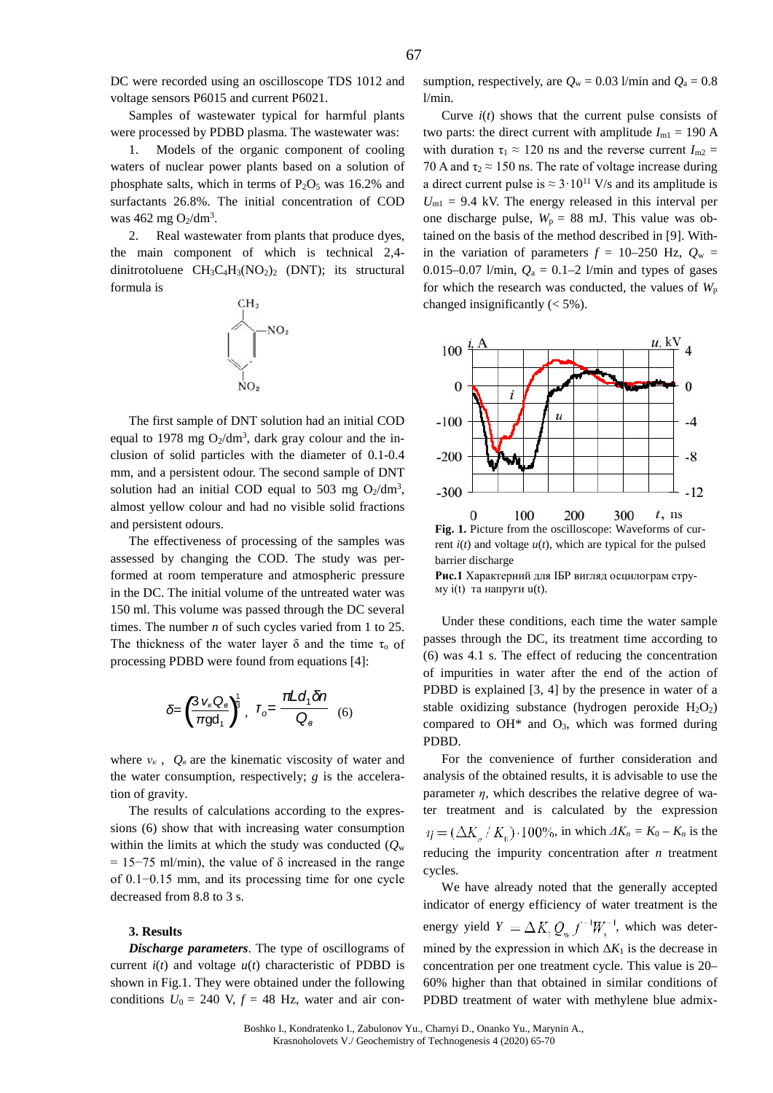DC were recorded using an oscilloscope TDS 1012 and voltage sensors P6015 and current P6021.

Samples of wastewater typical for harmful plants were processed by PDBD plasma. The wastewater was:

1. Models of the organic component of cooling waters of nuclear power plants based on a solution of phosphate salts, which in terms of  $P_2O_5$  was 16.2% and surfactants 26.8%. The initial concentration of COD was 462 mg  $O_2/dm^3$ .

2. Real wastewater from plants that produce dyes, the main component of which is technical 2,4 dinitrotoluene  $CH_3C_4H_3(NO_2)_2$  (DNT); its structural formula is



The first sample of DNT solution had an initial COD equal to 1978 mg  $O_2/dm^3$ , dark gray colour and the inclusion of solid particles with the diameter of 0.1-0.4 mm, and a persistent odour. The second sample of DNT solution had an initial COD equal to 503 mg  $O_2/dm^3$ , almost yellow colour and had no visible solid fractions and persistent odours.

The effectiveness of processing of the samples was assessed by changing the COD. The study was performed at room temperature and atmospheric pressure in the DC. The initial volume of the untreated water was 150 ml. This volume was passed through the DC several times. The number *n* of such cycles varied from 1 to 25. The thickness of the water layer  $\delta$  and the time  $\tau_0$  of processing PDBD were found from equations [4]:

$$
\delta = \left(\frac{3\,v_{\kappa}\,Q_{\rm e}}{\pi \,gd_{1}}\right)^{\!\!\frac{1}{3}},\ \ I_{o} = \frac{\pi \,L\,d_{1}\,\delta n}{Q_{\rm e}}\quad(6)
$$

where  $v_k$ ,  $Q_\theta$  are the kinematic viscosity of water and the water consumption, respectively; *g* is the acceleration of gravity.

The results of calculations according to the expressions (6) show that with increasing water consumption within the limits at which the study was conducted  $(O_w)$  $= 15-75$  ml/min), the value of  $\delta$  increased in the range of 0.1−0.15 mm, and its processing time for one cycle decreased from 8.8 to 3 s.

### **3. Results**

*Discharge parameters*. The type of oscillograms of current  $i(t)$  and voltage  $u(t)$  characteristic of PDBD is shown in Fig.1. They were obtained under the following conditions  $U_0 = 240$  V,  $f = 48$  Hz, water and air consumption, respectively, are  $Q_w = 0.03$  l/min and  $Q_a = 0.8$ l/min.

Curve  $i(t)$  shows that the current pulse consists of two parts: the direct current with amplitude  $I_{\text{ml}} = 190 \text{ A}$ with duration  $\tau_1 \approx 120$  ns and the reverse current  $I_{\text{m2}} =$ 70 A and  $\tau_2 \approx 150$  ns. The rate of voltage increase during a direct current pulse is  $\approx 3.10^{11}$  V/s and its amplitude is  $U_{\text{ml}}$  = 9.4 kV. The energy released in this interval per one discharge pulse,  $W_p = 88$  mJ. This value was obtained on the basis of the method described in [9]. Within the variation of parameters  $f = 10-250$  Hz,  $Q_w =$ 0.015–0.07 l/min,  $Q_a = 0.1-2$  l/min and types of gases for which the research was conducted, the values of  $W_p$ changed insignificantly (< 5%).



**Fig. 1.** Picture from the oscilloscope: Waveforms of current  $i(t)$  and voltage  $u(t)$ , which are typical for the pulsed barrier discharge

**Рис.1** Характерний для ІБР вигляд осцилограм струму i(t) та напруги u(t).

Under these conditions, each time the water sample passes through the DC, its treatment time according to (6) was 4.1 s. The effect of reducing the concentration of impurities in water after the end of the action of PDBD is explained [3, 4] by the presence in water of a stable oxidizing substance (hydrogen peroxide  $H_2O_2$ ) compared to  $OH^*$  and  $O_3$ , which was formed during PDBD.

For the convenience of further consideration and analysis of the obtained results, it is advisable to use the parameter  $\eta$ , which describes the relative degree of water treatment and is calculated by the expression  $\eta = (\Delta K_a / K_0) \cdot 100\%$ , in which  $\Delta K_n = K_0 - K_n$  is the reducing the impurity concentration after *n* treatment cycles.

We have already noted that the generally accepted indicator of energy efficiency of water treatment is the energy yield  $Y = \Delta K_1 Q_{w} f^{-1} W_{w}^{-1}$ , which was determined by the expression in which  $\Delta K_1$  is the decrease in concentration per one treatment cycle. This value is 20– 60% higher than that obtained in similar conditions of PDBD treatment of water with methylene blue admix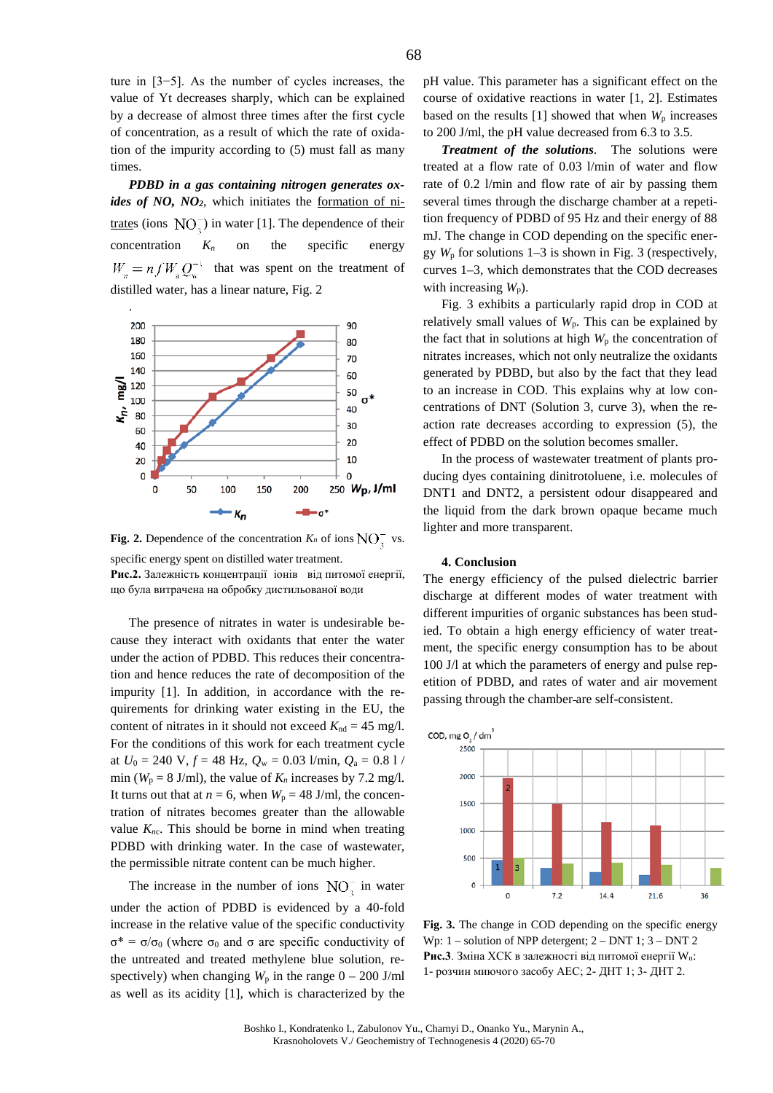ture in [3−5]. As the number of cycles increases, the value of Yt decreases sharply, which can be explained by a decrease of almost three times after the first cycle of concentration, as a result of which the rate of oxidation of the impurity according to (5) must fall as many times.

*PDBD in a gas containing nitrogen generates oxides of NO, NO2*, which initiates the formation of nitrates (ions  $\rm NO^-$ ) in water [1]. The dependence of their concentration  $K_n$  on the specific energy  $W_{n} = n f W_{n} Q_{n}^{-1}$  that was spent on the treatment of distilled water, has a linear nature, Fig. 2



**Fig. 2.** Dependence of the concentration  $K_n$  of ions  $NO_2^-$  vs. specific energy spent on distilled water treatment.

**Рис.2.** Залежність концентрації іонів від питомої енергії, що була витрачена на обробку дистильованої води

The presence of nitrates in water is undesirable because they interact with oxidants that enter the water under the action of PDBD. This reduces their concentration and hence reduces the rate of decomposition of the impurity [1]. In addition, in accordance with the requirements for drinking water existing in the EU, the content of nitrates in it should not exceed  $K_{nd} = 45$  mg/l. For the conditions of this work for each treatment cycle at  $U_0 = 240 \text{ V}, f = 48 \text{ Hz}, Q_w = 0.03 \text{ l/min}, Q_a = 0.8 \text{ l}$ min ( $W_p = 8$  J/ml), the value of  $K_n$  increases by 7.2 mg/l. It turns out that at  $n = 6$ , when  $W_p = 48$  J/ml, the concentration of nitrates becomes greater than the allowable value  $K<sub>nc</sub>$ . This should be borne in mind when treating PDBD with drinking water. In the case of wastewater, the permissible nitrate content can be much higher.

The increase in the number of ions  $NO<sub>n</sub><sup>-</sup>$  in water under the action of PDBD is evidenced by a 40-fold increase in the relative value of the specific conductivity  $σ^* = σ/σ_0$  (where  $σ_0$  and  $σ$  are specific conductivity of the untreated and treated methylene blue solution, respectively) when changing  $W_p$  in the range  $0 - 200$  J/ml as well as its acidity [1], which is characterized by the pH value. This parameter has a significant effect on the course of oxidative reactions in water [1, 2]. Estimates based on the results  $[1]$  showed that when  $W_p$  increases to 200 J/ml, the pH value decreased from 6.3 to 3.5.

*Treatment of the solutions*. The solutions were treated at a flow rate of 0.03 l/min of water and flow rate of 0.2 l/min and flow rate of air by passing them several times through the discharge chamber at a repetition frequency of PDBD of 95 Hz and their energy of 88 mJ. The change in COD depending on the specific energy  $W_p$  for solutions 1–3 is shown in Fig. 3 (respectively, curves 1–3, which demonstrates that the COD decreases with increasing  $W_p$ ).

Fig. 3 exhibits a particularly rapid drop in COD at relatively small values of  $W_p$ . This can be explained by the fact that in solutions at high  $W_p$  the concentration of nitrates increases, which not only neutralize the oxidants generated by PDBD, but also by the fact that they lead to an increase in COD. This explains why at low concentrations of DNT (Solution 3, curve 3), when the reaction rate decreases according to expression (5), the effect of PDBD on the solution becomes smaller.

In the process of wastewater treatment of plants producing dyes containing dinitrotoluene, i.e. molecules of DNT1 and DNT2, a persistent odour disappeared and the liquid from the dark brown opaque became much lighter and more transparent.

#### **4. Conclusion**

The energy efficiency of the pulsed dielectric barrier discharge at different modes of water treatment with different impurities of organic substances has been studied. To obtain a high energy efficiency of water treatment, the specific energy consumption has to be about 100 J/l at which the parameters of energy and pulse repetition of PDBD, and rates of water and air movement passing through the chamber are self-consistent.



**Fig. 3.** The change in COD depending on the specific energy Wp: 1 – solution of NPP detergent; 2 – DNT 1; 3 – DNT 2 **Рис.3**. Зміна ХСК в залежності від питомої енергії Wп: 1- розчин миючого засобу АЕС; 2- ДНТ 1; 3- ДНТ 2.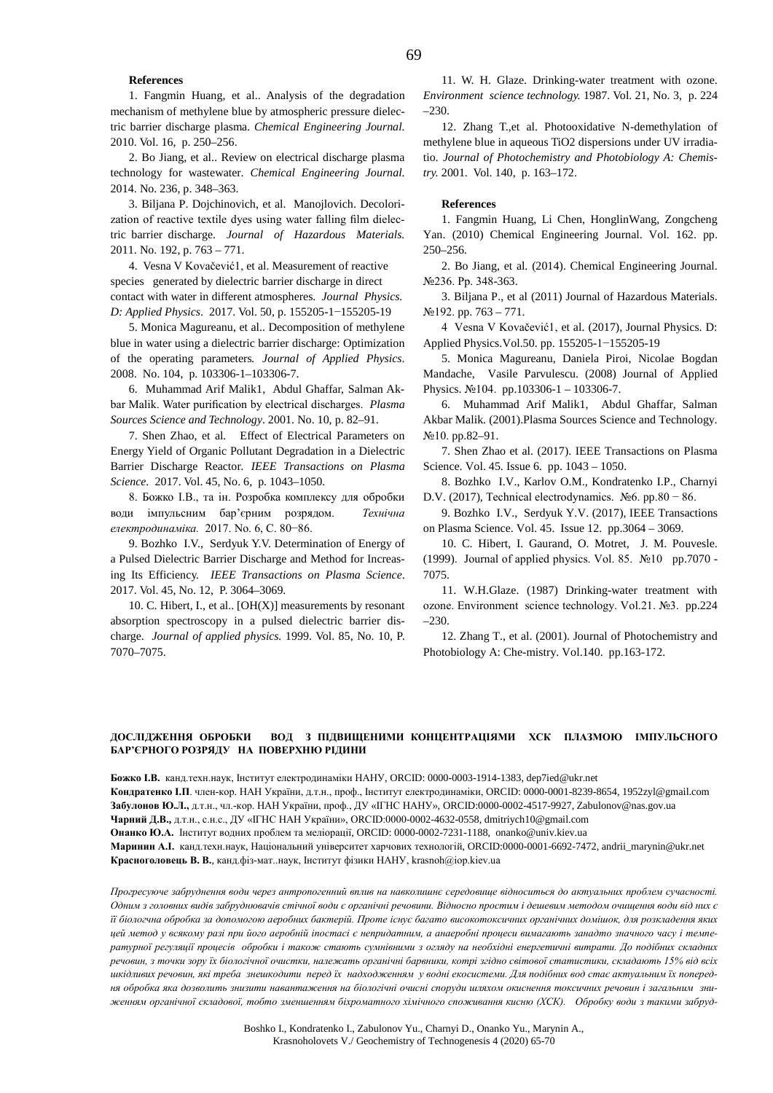## **References**

1. Fangmin Huang, et al.. Analysis of the degradation mechanism of methylene blue by atmospheric pressure dielectric barrier discharge plasma. *Chemical Engineering Journal.* 2010. Vol. 16, p. 250–256.

2. Bo Jiang, et al.. Review on electrical discharge plasma technology for wastewater. *Chemical Engineering Journal.* 2014. No. 236, p. 348–363.

3. Biljana P. Dojchinovich, et al. Manojlovich. Decolorization of reactive textile dyes using water falling film dielectric barrier discharge. *Journal of Hazardous Materials.* 2011. No. 192, p. 763 – 771.

4. Vesna V Kovačević1, et al. Measurement of reactive species generated by dielectric barrier discharge in direct contact with water in different atmospheres. *Journal Physics. D: Applied Physics*. 2017. Vol. 50, p. 155205-1−155205-19

5. Monica Magureanu, et al.. Decomposition of methylene blue in water using a dielectric barrier discharge: Optimization of the operating parameters*. Journal of Applied Physics*. 2008. No. 104, p. 103306-1–103306-7.

6. Muhammad Arif Malik1, Abdul Ghaffar, Salman Akbar Malik. Water purification by electrical discharges. *Plasma Sources Science and Technology*. 2001. No. 10, p. 82–91.

7. [Shen Zhao,](http://ieeexplore.ieee.org/search/searchresult.jsp?searchWithin=%22Authors%22:.QT.Shen%20Zhao.QT.&newsearch=true) et al. Effect of Electrical Parameters on Energy Yield of Organic Pollutant Degradation in a Dielectric Barrier Discharge Reactor*. IEEE Transactions on Plasma Science.* 2017. Vol. 45, No. 6, p. 1043–1050.

8. Божко І.В., та ін. Розробка комплексу для обробки води імпульсним бар'єрним розрядом. *Технічна електродинаміка.* 2017. No. 6, С. 80−86.

9. Bozhko I.V., Serdyuk Y.V. Determination of Energy of a Pulsed Dielectric Barrier Discharge and Method for Increasing Its Efficiency. *IEEE Transactions on Plasma Science*. 2017. Vol. 45, No. 12, P. 3064–3069.

10. C. Hibert, I., et al.,  $[OH(X)]$  measurements by resonant absorption spectroscopy in a pulsed dielectric barrier discharge. *Journal of applied physics.* 1999. Vol. 85, No. 10, P. 7070–7075.

11. W. H. Glaze. Drinking-water treatment with ozone. *Environment science technology.* 1987. Vol. 21, No. 3, p. 224  $-230$ 

12. Zhang T.,et al. Photooxidative N-demethylation of methylene blue in aqueous TiO2 dispersions under UV irradiatio*. Journal of Photochemistry and Photobiology A: Chemistry.* 2001. Vol. 140, p. 163–172.

### **References**

1. Fangmin Huang, Li Chen, HonglinWang, Zongcheng Yan. (2010) Chemical Engineering Journal. Vol. 162. pp. 250–256.

2. Bo Jiang, et al. (2014). Chemical Engineering Journal. №236. Pp. 348-363.

3. Biljana P., et al (2011) Journal of Hazardous Materials.  $N<sub>2</sub>192. pp. 763 - 771.$ 

4 Vesna V Kovačević1, et al. (2017), Journal Physics. D: Applied Physics.Vol.50. pp. 155205-1−155205-19

5. Monica Magureanu, Daniela Piroi, Nicolae Bogdan Mandache, Vasile Parvulescu. (2008) Journal of Applied Physics. №104. pp.103306-1 – 103306-7.

6. Muhammad Arif Malik1, Abdul Ghaffar, Salman Akbar Malik. (2001).Plasma Sources Science and Technology. №10. pp.82–91.

7. Shen Zhao et al. (2017). IEEE Transactions on Plasma Science. Vol. 45. Issue 6. pp. 1043 – 1050.

8. Bozhko I.V., Karlov O.M., Kondratenko I.P., Charnyi D.V. (2017), Technical electrodynamics. Nº6. pp.80 – 86.

9. Bozhko I.V., Serdyuk Y.V. (2017), IEEE Transactions on Plasma Science. Vol. 45. Issue 12. pp.3064 – 3069.

10. C. Hibert, I. Gaurand, O. Motret, J. M. Pouvesle. (1999). Journal of applied physics. Vol. 85. №10 pp.7070 - 7075.

11. W.H.Glaze. (1987) Drinking-water treatment with ozone. Environment science technology. Vol.21. №3. pp.224 –230.

12. Zhang T., et al. (2001). Journal of Photochemistry and Photobiology A: Che-mistry. Vol.140. pp.163-172.

# **ДОСЛІДЖЕННЯ ОБРОБКИ ВОД З ПІДВИЩЕНИМИ КОНЦЕНТРАЦІЯМИ ХСК ПЛАЗМОЮ ІМПУЛЬСНОГО БАР'ЄРНОГО РОЗРЯДУ НА ПОВЕРХНЮ РІДИНИ**

**Божко І.В.** канд.техн.наук, Інститут електродинаміки НАНУ, ORCID[: 0000-0003-1914-1383,](mailto:0000-0003-1914-1383) [dep7ied@ukr.net](mailto:dep7ied@ukr.net) **Кондратенко І.П**. член-кор. НАН України, д.т.н., проф., Інститут електродинаміки, ORCID[: 0000-0001-8239-8654,](mailto:0000-0001-8239-8654) [1952zyl@gmail.com](mailto:1952zyl@gmail.com) **Забулонов Ю.Л.,** д.т.н., чл.-кор. НАН України, проф., ДУ «ІГНС НАНУ», ORCID:0000-0002-4517-9927[, Zabulonov@nas.gov.ua](mailto:Zabulonov@nas.gov.ua) **Чарний Д.В.,** д.т.н., с.н.с., ДУ «ІГНС НАН України», ORCID:0000-0002-4632-0558[, dmitriych10@gmail.com](mailto:dmitriych10@gmail.com) **Онанко Ю.А.** Інститут водних проблем та меліорації, ORCID: [0000-0002-7231-1188,](https://orcid.org/0000-0002-7231-1188) [onanko@univ.kiev.ua](mailto:onanko@univ.kiev.ua) **Маринин А.І.** канд.техн.наук, Національний університет харчових технологій, ORCI[D:0000-0001-6692-7472,](mailto:0000-0001-6692-7472) [andrii\\_marynin@ukr.net](mailto:andrii_marynin@ukr.net) **Красноголовець В. В.**, канд.фіз-мат..наук, Інститут фізики НАНУ, krasnoh@iop.kiev.ua

*Прогресуюче забруднення води через антропогенний вплив на навколишнє середовище відноситься до актуальних проблем сучасності. Одним з головних видів забруднювачів стічної води є органічні речовини. Відносно простим і дешевим методом очищення води від них є її біологчна обробка за допомогою аеробних бактерій. Проте існує багато високотоксичних органічних домішок, для розкладення яких цей метод у всякому разі при його аеробній іпостасі є непридатним, а анаеробні процеси вимагають занадто значного часу і температурної регуляції процесів обробки і також стають сумнівними з огляду на необхідні енергетичні витрати. До подібних складних речовин, з точки зору їх біологічної очистки, належать органічні барвники, котрі згідно світової статистики, складають 15% від всіх шкідливих речовин, які треба знешкодити перед їх надходженням у водні екосистеми. Для подібних вод стає актуальним їх попередня обробка яка дозволить знизити навантаження на біологічні очисні споруди шляхом окиснення токсичних речовин і загальним зниженням органічної складової, тобто зменшенням біхроматного хімічного споживання кисню (ХСК). Обробку води з такими забруд-*